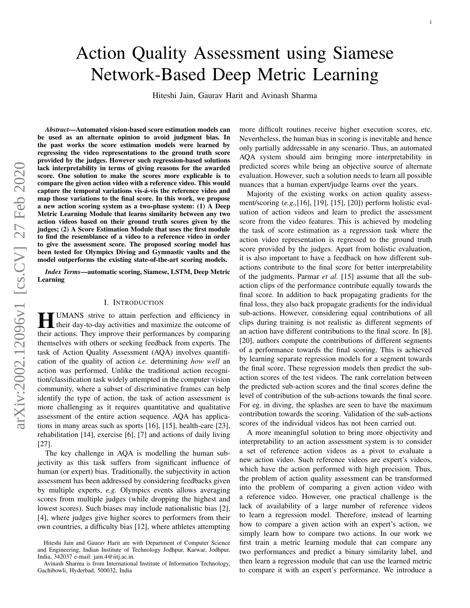# *Abstract*—Automated vision-based score estimation models can

be used as an alternate opinion to avoid judgment bias. In the past works the score estimation models were learned by regressing the video representations to the ground truth score provided by the judges. However such regression-based solutions lack interpretability in terms of giving reasons for the awarded score. One solution to make the scores more explicable is to compare the given action video with a reference video. This would capture the temporal variations vis-á-vis the reference video and map those variations to the final score. In this work, we propose a new action scoring system as a two-phase system: (1) A Deep Metric Learning Module that learns similarity between any two action videos based on their ground truth scores given by the judges; (2) A Score Estimation Module that uses the first module to find the resemblance of a video to a reference video in order to give the assessment score. The proposed scoring model has been tested for Olympics Diving and Gymnastic vaults and the model outperforms the existing state-of-the-art scoring models.

*Index Terms*—automatic scoring, Siamese, LSTM, Deep Metric Learning

# I. INTRODUCTION

**HUMANS** strive to attain perfection and efficiency in their day-to-day activities and maximize the outcome of their day-to-day activities and maximize the outcome of their actions. They improve their performances by comparing themselves with others or seeking feedback from experts. The task of Action Quality Assessment (AQA) involves quantification of the quality of action *i.e.* determining *how well* an action was performed. Unlike the traditional action recognition/classification task widely attempted in the computer vision community, where a subset of discriminative frames can help identify the type of action, the task of action assessment is more challenging as it requires quantitative and qualitative assessment of the entire action sequence. AQA has applications in many areas such as sports [16], [15], health-care [23], rehabilitation [14], exercise [6], [7] and actions of daily living [27].

The key challenge in AQA is modelling the human subjectivity as this task suffers from significant influence of human (or expert) bias. Traditionally, the subjectivity in action assessment has been addressed by considering feedbacks given by multiple experts, *e.g.* Olympics events allows averaging scores from multiple judges (while dropping the highest and lowest scores). Such biases may include nationalistic bias [2], [4], where judges give higher scores to performers from their own countries, a difficulty bias [12], where athletes attempting more difficult routines receive higher execution scores, etc. Nevertheless, the human bias in scoring is inevitable and hence only partially addressable in any scenario. Thus, an automated AQA system should aim bringing more interpretability in predicted scores while being an objective source of alternate evaluation. However, such a solution needs to learn all possible nuances that a human expert/judge learns over the years.

Action Quality Assessment using Siamese

Network-Based Deep Metric Learning

Hiteshi Jain, Gaurav Harit and Avinash Sharma

Majority of the existing works on action quality assessment/scoring (*e.g.,*[16], [19], [15], [20]) perform holistic evaluation of action videos and learn to predict the assessment score from the video features. This is achieved by modeling the task of score estimation as a regression task where the action video representation is regressed to the ground truth score provided by the judges. Apart from holistic evaluation, it is also important to have a feedback on how different subactions contribute to the final score for better interpretability of the judgments. Parmar *et al.* [15] assume that all the subaction clips of the performance contribute equally towards the final score. In addition to back propagating gradients for the final loss, they also back propagate gradients for the individual sub-actions. However, considering equal contributions of all clips during training is not realistic as different segments of an action have different contributions to the final score. In [8], [20], authors compute the contributions of different segments of a performance towards the final scoring. This is achieved by learning separate regression models for a segment towards the final score. These regression models then predict the subaction scores of the test videos. The rank correlation between the predicted sub-action scores and the final scores define the level of contribution of the sub-actions towards the final score. For eg. in diving, the splashes are seen to have the maximum contribution towards the scoring. Validation of the sub-actions scores of the individual videos has not been carried out.

A more meaningful solution to bring more objectivity and interpretability to an action assessment system is to consider a set of reference action videos as a pivot to evaluate a new action video. Such reference videos are expert's videos, which have the action performed with high precision. Thus, the problem of action quality assessment can be transformed into the problem of comparing a given action video with a reference video. However, one practical challenge is the lack of availability of a large number of reference videos to learn a regression model. Therefore, instead of learning how to compare a given action with an expert's action, we simply learn how to compare two actions. In our work we first train a metric learning module that can compare any two performances and predict a binary similarity label, and then learn a regression module that can use the learned metric to compare it with an expert's performance. We introduce a

Hiteshi Jain and Gaurav Harit are with Department of Computer Science and Engineering, Indian Institute of Technology Jodhpur, Karwar, Jodhpur, India, 342037 e-mail: jain.4@iitj.ac.in.

Avinash Sharma is from International Institute of Information Technology, Gachibowli, Hyderbad, 500032, India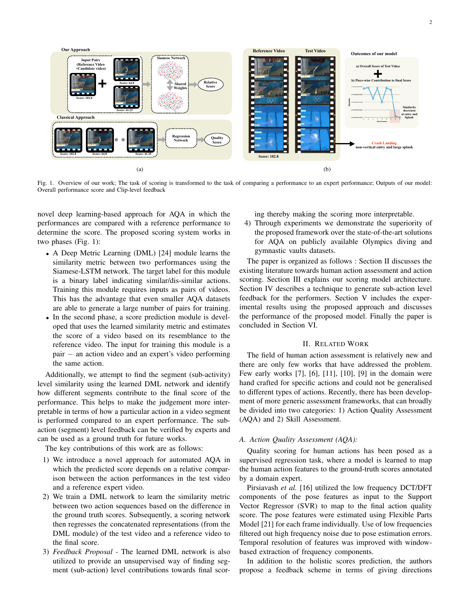

Fig. 1. Overview of our work; The task of scoring is transformed to the task of comparing a performance to an expert performance; Outputs of our model: Overall performance score and Clip-level feedback

novel deep learning-based approach for AQA in which the performances are compared with a reference performance to determine the score. The proposed scoring system works in two phases (Fig. 1):

- A Deep Metric Learning (DML) [24] module learns the similarity metric between two performances using the Siamese-LSTM network. The target label for this module is a binary label indicating similar/dis-similar actions. Training this module requires inputs as pairs of videos. This has the advantage that even smaller AQA datasets are able to generate a large number of pairs for training.
- In the second phase, a score prediction module is developed that uses the learned similarity metric and estimates the score of a video based on its resemblance to the reference video. The input for training this module is a pair − an action video and an expert's video performing the same action.

Additionally, we attempt to find the segment (sub-activity) level similarity using the learned DML network and identify how different segments contribute to the final score of the performance. This helps to make the judgement more interpretable in terms of how a particular action in a video segment is performed compared to an expert performance. The subaction (segment) level feedback can be verified by experts and can be used as a ground truth for future works.

The key contributions of this work are as follows:

- 1) We introduce a novel approach for automated AQA in which the predicted score depends on a relative comparison between the action performances in the test video and a reference expert video.
- 2) We train a DML network to learn the similarity metric between two action sequences based on the difference in the ground truth scores. Subsequently, a scoring network then regresses the concatenated representations (from the DML module) of the test video and a reference video to the final score.
- 3) *Feedback Proposal -* The learned DML network is also utilized to provide an unsupervised way of finding segment (sub-action) level contributions towards final scor-

ing thereby making the scoring more interpretable.

4) Through experiments we demonstrate the superiority of the proposed framework over the state-of-the-art solutions for AQA on publicly available Olympics diving and gymnastic vaults datasets.

The paper is organized as follows : Section II discusses the existing literature towards human action assessment and action scoring. Section III explains our scoring model architecture. Section IV describes a technique to generate sub-action level feedback for the performers. Section V includes the experimental results using the proposed approach and discusses the performance of the proposed model. Finally the paper is concluded in Section VI.

# II. RELATED WORK

The field of human action assessment is relatively new and there are only few works that have addressed the problem. Few early works [7], [6], [11], [10], [9] in the domain were hand crafted for specific actions and could not be generalised to different types of actions. Recently, there has been development of more generic assessment frameworks, that can broadly be divided into two categories: 1) Action Quality Assessment (AQA) and 2) Skill Assessment.

# *A. Action Quality Assessment (AQA):*

Quality scoring for human actions has been posed as a supervised regression task, where a model is learned to map the human action features to the ground-truth scores annotated by a domain expert.

Pirsiavash *et al.* [16] utilized the low frequency DCT/DFT components of the pose features as input to the Support Vector Regressor (SVR) to map to the final action quality score. The pose features were estimated using Flexible Parts Model [21] for each frame individually. Use of low frequencies filtered out high frequency noise due to pose estimation errors. Temporal resolution of features was improved with windowbased extraction of frequency components.

In addition to the holistic scores prediction, the authors propose a feedback scheme in terms of giving directions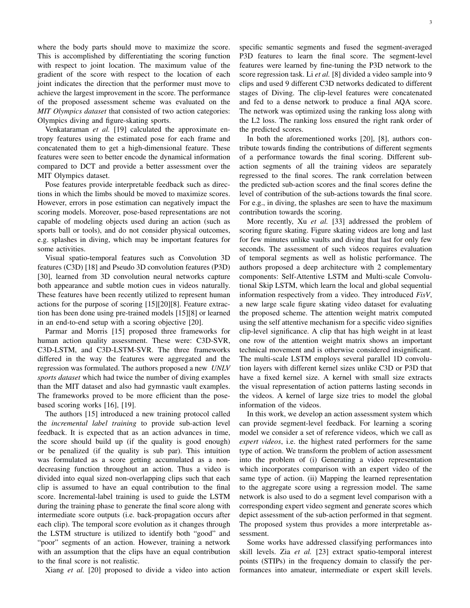where the body parts should move to maximize the score. This is accomplished by differentiating the scoring function with respect to joint location. The maximum value of the gradient of the score with respect to the location of each joint indicates the direction that the performer must move to achieve the largest improvement in the score. The performance of the proposed assessment scheme was evaluated on the *MIT Olympics dataset* that consisted of two action categories: Olympics diving and figure-skating sports.

Venkataraman *et al.* [19] calculated the approximate entropy features using the estimated pose for each frame and concatenated them to get a high-dimensional feature. These features were seen to better encode the dynamical information compared to DCT and provide a better assessment over the MIT Olympics dataset.

Pose features provide interpretable feedback such as directions in which the limbs should be moved to maximize scores. However, errors in pose estimation can negatively impact the scoring models. Moreover, pose-based representations are not capable of modeling objects used during an action (such as sports ball or tools), and do not consider physical outcomes, e.g. splashes in diving, which may be important features for some activities.

Visual spatio-temporal features such as Convolution 3D features (C3D) [18] and Pseudo 3D convolution features (P3D) [30], learned from 3D convolution neural networks capture both appearance and subtle motion cues in videos naturally. These features have been recently utilized to represent human actions for the purpose of scoring [15][20][8]. Feature extraction has been done using pre-trained models [15][8] or learned in an end-to-end setup with a scoring objective [20].

Parmar and Morris [15] proposed three frameworks for human action quality assessment. These were: C3D-SVR, C3D-LSTM, and C3D-LSTM-SVR. The three frameworks differed in the way the features were aggregated and the regression was formulated. The authors proposed a new *UNLV sports dataset* which had twice the number of diving examples than the MIT dataset and also had gymnastic vault examples. The frameworks proved to be more efficient than the posebased scoring works [16], [19].

The authors [15] introduced a new training protocol called the *incremental label training* to provide sub-action level feedback. It is expected that as an action advances in time, the score should build up (if the quality is good enough) or be penalized (if the quality is sub par). This intuition was formulated as a score getting accumulated as a nondecreasing function throughout an action. Thus a video is divided into equal sized non-overlapping clips such that each clip is assumed to have an equal contribution to the final score. Incremental-label training is used to guide the LSTM during the training phase to generate the final score along with intermediate score outputs (i.e. back-propagation occurs after each clip). The temporal score evolution as it changes through the LSTM structure is utilized to identify both "good" and "poor" segments of an action. However, training a network with an assumption that the clips have an equal contribution to the final score is not realistic.

Xiang *et al.* [20] proposed to divide a video into action

specific semantic segments and fused the segment-averaged P3D features to learn the final score. The segment-level features were learned by fine-tuning the P3D network to the score regression task. Li *et al.* [8] divided a video sample into 9 clips and used 9 different C3D networks dedicated to different stages of Diving. The clip-level features were concatenated and fed to a dense network to produce a final AQA score. The network was optimized using the ranking loss along with the L2 loss. The ranking loss ensured the right rank order of the predicted scores.

In both the aforementioned works [20], [8], authors contribute towards finding the contributions of different segments of a performance towards the final scoring. Different subaction segments of all the training videos are separately regressed to the final scores. The rank correlation between the predicted sub-action scores and the final scores define the level of contribution of the sub-actions towards the final score. For e.g., in diving, the splashes are seen to have the maximum contribution towards the scoring.

More recently, Xu *et al.* [33] addressed the problem of scoring figure skating. Figure skating videos are long and last for few minutes unlike vaults and diving that last for only few seconds. The assessment of such videos requires evaluation of temporal segments as well as holistic performance. The authors proposed a deep architecture with 2 complementary components: Self-Attentive LSTM and Multi-scale Convolutional Skip LSTM, which learn the local and global sequential information respectively from a video. They introduced *FisV*, a new large scale figure skating video dataset for evaluating the proposed scheme. The attention weight matrix computed using the self attentive mechanism for a specific video signifies clip-level significance. A clip that has high weight in at least one row of the attention weight matrix shows an important technical movement and is otherwise considered insignificant. The multi-scale LSTM employs several parallel 1D convolution layers with different kernel sizes unlike C3D or P3D that have a fixed kernel size. A kernel with small size extracts the visual representation of action patterns lasting seconds in the videos. A kernel of large size tries to model the global information of the videos.

In this work, we develop an action assessment system which can provide segment-level feedback. For learning a scoring model we consider a set of reference videos, which we call as *expert videos*, i.e. the highest rated performers for the same type of action. We transform the problem of action assessment into the problem of (i) Generating a video representation which incorporates comparison with an expert video of the same type of action. (ii) Mapping the learned representation to the aggregate score using a regression model. The same network is also used to do a segment level comparison with a corresponding expert video segment and generate scores which depict assessment of the sub-action performed in that segment. The proposed system thus provides a more interpretable assessment.

Some works have addressed classifying performances into skill levels. Zia *et al.* [23] extract spatio-temporal interest points (STIPs) in the frequency domain to classify the performances into amateur, intermediate or expert skill levels.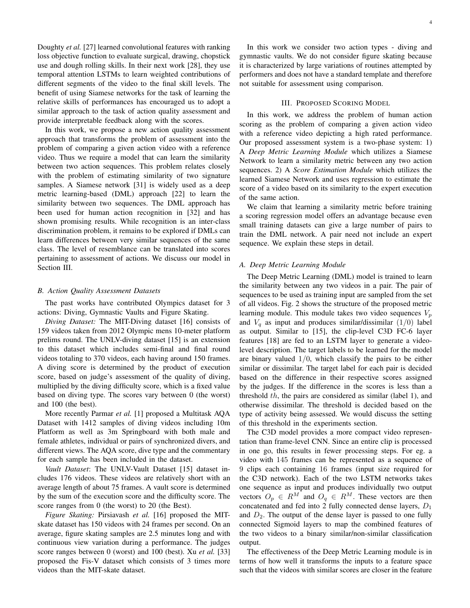Doughty *et al.* [27] learned convolutional features with ranking loss objective function to evaluate surgical, drawing, chopstick use and dough rolling skills. In their next work [28], they use temporal attention LSTMs to learn weighted contributions of different segments of the video to the final skill levels. The benefit of using Siamese networks for the task of learning the relative skills of performances has encouraged us to adopt a similar approach to the task of action quality assessment and provide interpretable feedback along with the scores.

In this work, we propose a new action quality assessment approach that transforms the problem of assessment into the problem of comparing a given action video with a reference video. Thus we require a model that can learn the similarity between two action sequences. This problem relates closely with the problem of estimating similarity of two signature samples. A Siamese network [31] is widely used as a deep metric learning-based (DML) approach [22] to learn the similarity between two sequences. The DML approach has been used for human action recognition in [32] and has shown promising results. While recognition is an inter-class discrimination problem, it remains to be explored if DMLs can learn differences between very similar sequences of the same class. The level of resemblance can be translated into scores pertaining to assessment of actions. We discuss our model in Section III.

### *B. Action Quality Assessment Datasets*

The past works have contributed Olympics dataset for 3 actions: Diving, Gymnastic Vaults and Figure Skating.

*Diving Dataset:* The MIT-Diving dataset [16] consists of 159 videos taken from 2012 Olympic mens 10-meter platform prelims round. The UNLV-diving dataset [15] is an extension to this dataset which includes semi-final and final round videos totaling to 370 videos, each having around 150 frames. A diving score is determined by the product of execution score, based on judge's assessment of the quality of diving, multiplied by the diving difficulty score, which is a fixed value based on diving type. The scores vary between 0 (the worst) and 100 (the best).

More recently Parmar *et al.* [1] proposed a Multitask AQA Dataset with 1412 samples of diving videos including 10m Platform as well as 3m Springboard with both male and female athletes, individual or pairs of synchronized divers, and different views. The AQA score, dive type and the commentary for each sample has been included in the dataset.

*Vault Dataset*: The UNLV-Vault Dataset [15] dataset includes 176 videos. These videos are relatively short with an average length of about 75 frames. A vault score is determined by the sum of the execution score and the difficulty score. The score ranges from 0 (the worst) to 20 (the Best).

*Figure Skating:* Pirsiavash *et al.* [16] proposed the MITskate dataset has 150 videos with 24 frames per second. On an average, figure skating samples are 2.5 minutes long and with continuous view variation during a performance. The judges score ranges between 0 (worst) and 100 (best). Xu *et al.* [33] proposed the Fis-V dataset which consists of 3 times more videos than the MIT-skate dataset.

In this work we consider two action types - diving and gymnastic vaults. We do not consider figure skating because it is characterized by large variations of routines attempted by performers and does not have a standard template and therefore not suitable for assessment using comparison.

# III. PROPOSED SCORING MODEL

In this work, we address the problem of human action scoring as the problem of comparing a given action video with a reference video depicting a high rated performance. Our proposed assessment system is a two-phase system: 1) A *Deep Metric Learning Module* which utilizes a Siamese Network to learn a similarity metric between any two action sequences. 2) A *Score Estimation Module* which utilizes the learned Siamese Network and uses regression to estimate the score of a video based on its similarity to the expert execution of the same action.

We claim that learning a similarity metric before training a scoring regression model offers an advantage because even small training datasets can give a large number of pairs to train the DML network. A pair need not include an expert sequence. We explain these steps in detail.

# *A. Deep Metric Learning Module*

The Deep Metric Learning (DML) model is trained to learn the similarity between any two videos in a pair. The pair of sequences to be used as training input are sampled from the set of all videos. Fig. 2 shows the structure of the proposed metric learning module. This module takes two video sequences  $V_p$ and  $V_q$  as input and produces similar/dissimilar (1/0) label as output. Similar to [15], the clip-level C3D FC-6 layer features [18] are fed to an LSTM layer to generate a videolevel description. The target labels to be learned for the model are binary valued  $1/0$ , which classify the pairs to be either similar or dissimilar. The target label for each pair is decided based on the difference in their respective scores assigned by the judges. If the difference in the scores is less than a threshold  $th$ , the pairs are considered as similar (label 1), and otherwise dissimilar. The threshold is decided based on the type of activity being assessed. We would discuss the setting of this threshold in the experiments section.

The C3D model provides a more compact video representation than frame-level CNN. Since an entire clip is processed in one go, this results in fewer processing steps. For eg. a video with 145 frames can be represented as a sequence of 9 clips each containing 16 frames (input size required for the C3D network). Each of the two LSTM networks takes one sequence as input and produces individually two output vectors  $O_p \in R^M$  and  $O_q \in R^M$ . These vectors are then concatenated and fed into 2 fully connected dense layers,  $D_1$ and  $D_2$ . The output of the dense layer is passed to one fully connected Sigmoid layers to map the combined features of the two videos to a binary similar/non-similar classification output.

The effectiveness of the Deep Metric Learning module is in terms of how well it transforms the inputs to a feature space such that the videos with similar scores are closer in the feature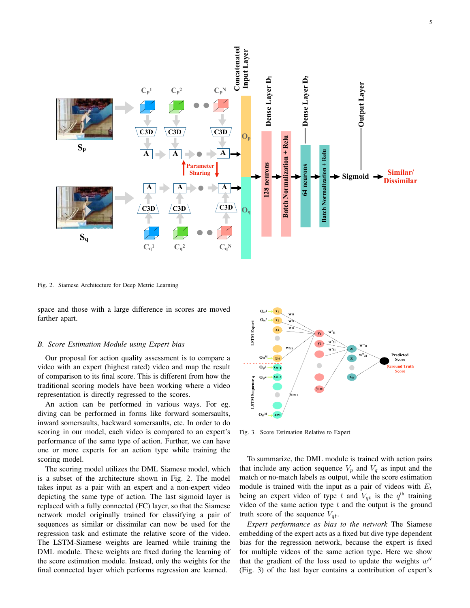

Fig. 2. Siamese Architecture for Deep Metric Learning

space and those with a large difference in scores are moved farther apart.

### *B. Score Estimation Module using Expert bias*

Our proposal for action quality assessment is to compare a video with an expert (highest rated) video and map the result of comparison to its final score. This is different from how the traditional scoring models have been working where a video representation is directly regressed to the scores.

An action can be performed in various ways. For eg. diving can be performed in forms like forward somersaults, inward somersaults, backward somersaults, etc. In order to do scoring in our model, each video is compared to an expert's performance of the same type of action. Further, we can have one or more experts for an action type while training the scoring model.

The scoring model utilizes the DML Siamese model, which is a subset of the architecture shown in Fig. 2. The model takes input as a pair with an expert and a non-expert video depicting the same type of action. The last sigmoid layer is replaced with a fully connected (FC) layer, so that the Siamese network model originally trained for classifying a pair of sequences as similar or dissimilar can now be used for the regression task and estimate the relative score of the video. The LSTM-Siamese weights are learned while training the DML module. These weights are fixed during the learning of the score estimation module. Instead, only the weights for the final connected layer which performs regression are learned.



Fig. 3. Score Estimation Relative to Expert

To summarize, the DML module is trained with action pairs that include any action sequence  $V_p$  and  $V_q$  as input and the match or no-match labels as output, while the score estimation module is trained with the input as a pair of videos with  $E_t$ being an expert video of type t and  $V_{qt}$  is the  $q^{\text{th}}$  training video of the same action type  $t$  and the output is the ground truth score of the sequence  $V_{at}$ .

*Expert performance as bias to the network* The Siamese embedding of the expert acts as a fixed but dive type dependent bias for the regression network, because the expert is fixed for multiple videos of the same action type. Here we show that the gradient of the loss used to update the weights  $w''$ (Fig. 3) of the last layer contains a contribution of expert's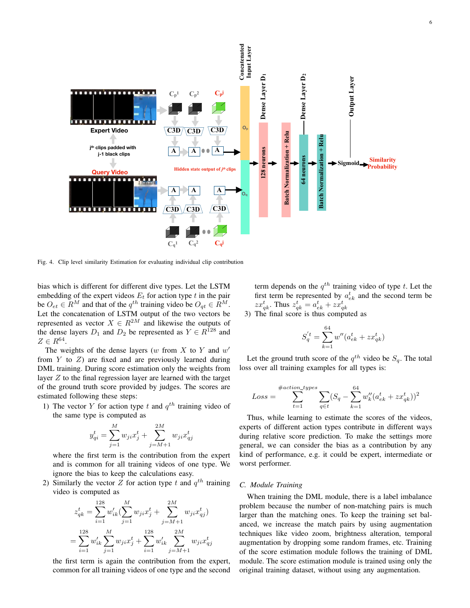

Fig. 4. Clip level similarity Estimation for evaluating individual clip contribution

bias which is different for different dive types. Let the LSTM embedding of the expert videos  $E_t$  for action type  $t$  in the pair be  $O_{et} \in R^M$  and that of the  $q^{th}$  training video be  $O_{qt} \in R^M$ . Let the concatenation of LSTM output of the two vectors be represented as vector  $X \in \mathbb{R}^{2M}$  and likewise the outputs of the dense layers  $D_1$  and  $D_2$  be represented as  $Y \in R^{128}$  and  $Z \in R^{64}$ .

The weights of the dense layers (w from  $X$  to  $Y$  and  $w'$ from  $Y$  to  $Z$ ) are fixed and are previously learned during DML training. During score estimation only the weights from layer  $Z$  to the final regression layer are learned with the target of the ground truth score provided by judges. The scores are estimated following these steps:

1) The vector Y for action type t and  $q^{th}$  training video of the same type is computed as

$$
y_{qi}^{t} = \sum_{j=1}^{M} w_{ji} x_j^{t} + \sum_{j=M+1}^{2M} w_{ji} x_{qj}^{t}
$$

where the first term is the contribution from the expert and is common for all training videos of one type. We ignore the bias to keep the calculations easy.

2) Similarly the vector Z for action type t and  $q^{th}$  training video is computed as

$$
\begin{split} z_{qk}^t &= \sum_{i=1}^{128} w'_{ik} (\sum_{j=1}^M w_{ji} x_j^t + \sum_{j=M+1}^{2M} w_{ji} x_{qj}^t) \\ &= \sum_{i=1}^{128} w'_{ik} \sum_{j=1}^M w_{ji} x_j^t + \sum_{i=1}^{128} w'_{ik} \sum_{j=M+1}^{2M} w_{ji} x_{qj}^t \end{split}
$$

the first term is again the contribution from the expert, common for all training videos of one type and the second term depends on the  $q^{th}$  training video of type t. Let the first term be represented by  $a_{ek}^t$  and the second term be  $zx_{qk}^t$ . Thus  $z_{qk}^t = a_{ek}^t + zx_{qk}^t$ 

3) The final score is thus computed as

$$
S'_{q} = \sum_{k=1}^{64} w''(a_{ek}^{t} + zx_{qk}^{t})
$$

Let the ground truth score of the  $q^{th}$  video be  $S_q$ . The total loss over all training examples for all types is:

$$
Loss = \sum_{t=1}^{\#action\_types} \sum_{q \in t} (S_q - \sum_{k=1}^{64} w''_k (a_{ek}^t + z x_{qk}^t))^2
$$

Thus, while learning to estimate the scores of the videos, experts of different action types contribute in different ways during relative score prediction. To make the settings more general, we can consider the bias as a contribution by any kind of performance, e.g. it could be expert, intermediate or worst performer.

# *C. Module Training*

When training the DML module, there is a label imbalance problem because the number of non-matching pairs is much larger than the matching ones. To keep the training set balanced, we increase the match pairs by using augmentation techniques like video zoom, brightness alteration, temporal augmentation by dropping some random frames, etc. Training of the score estimation module follows the training of DML module. The score estimation module is trained using only the original training dataset, without using any augmentation.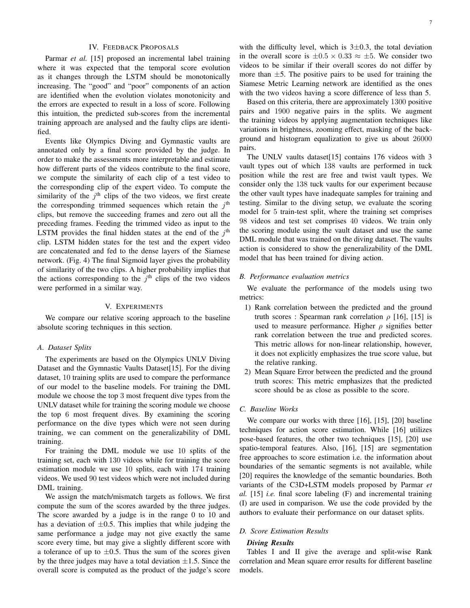# IV. FEEDBACK PROPOSALS

Parmar *et al.* [15] proposed an incremental label training where it was expected that the temporal score evolution as it changes through the LSTM should be monotonically increasing. The "good" and "poor" components of an action are identified when the evolution violates monotonicity and the errors are expected to result in a loss of score. Following this intuition, the predicted sub-scores from the incremental training approach are analysed and the faulty clips are identified.

Events like Olympics Diving and Gymnastic vaults are annotated only by a final score provided by the judge. In order to make the assessments more interpretable and estimate how different parts of the videos contribute to the final score, we compute the similarity of each clip of a test video to the corresponding clip of the expert video. To compute the similarity of the  $j<sup>th</sup>$  clips of the two videos, we first create the corresponding trimmed sequences which retain the  $j<sup>th</sup>$ clips, but remove the succeeding frames and zero out all the preceding frames. Feeding the trimmed video as input to the LSTM provides the final hidden states at the end of the  $j<sup>th</sup>$ clip. LSTM hidden states for the test and the expert video are concatenated and fed to the dense layers of the Siamese network. (Fig. 4) The final Sigmoid layer gives the probability of similarity of the two clips. A higher probability implies that the actions corresponding to the  $j<sup>th</sup>$  clips of the two videos were performed in a similar way.

# V. EXPERIMENTS

We compare our relative scoring approach to the baseline absolute scoring techniques in this section.

### *A. Dataset Splits*

The experiments are based on the Olympics UNLV Diving Dataset and the Gymnastic Vaults Dataset[15]. For the diving dataset, 10 training splits are used to compare the performance of our model to the baseline models. For training the DML module we choose the top 3 most frequent dive types from the UNLV dataset while for training the scoring module we choose the top 6 most frequent dives. By examining the scoring performance on the dive types which were not seen during training, we can comment on the generalizability of DML training.

For training the DML module we use 10 splits of the training set, each with 130 videos while for training the score estimation module we use 10 splits, each with 174 training videos. We used 90 test videos which were not included during DML training.

We assign the match/mismatch targets as follows. We first compute the sum of the scores awarded by the three judges. The score awarded by a judge is in the range 0 to 10 and has a deviation of  $\pm 0.5$ . This implies that while judging the same performance a judge may not give exactly the same score every time, but may give a slightly different score with a tolerance of up to  $\pm 0.5$ . Thus the sum of the scores given by the three judges may have a total deviation  $\pm 1.5$ . Since the overall score is computed as the product of the judge's score

with the difficulty level, which is  $3\pm0.3$ , the total deviation in the overall score is  $\pm 0.5 \times 0.33 \approx \pm 5$ . We consider two videos to be similar if their overall scores do not differ by more than  $\pm 5$ . The positive pairs to be used for training the Siamese Metric Learning network are identified as the ones with the two videos having a score difference of less than 5.

Based on this criteria, there are approximately 1300 positive pairs and 1900 negative pairs in the splits. We augment the training videos by applying augmentation techniques like variations in brightness, zooming effect, masking of the background and histogram equalization to give us about 26000 pairs.

The UNLV vaults dataset[15] contains 176 videos with 3 vault types out of which 138 vaults are performed in tuck position while the rest are free and twist vault types. We consider only the 138 tuck vaults for our experiment because the other vault types have inadequate samples for training and testing. Similar to the diving setup, we evaluate the scoring model for 5 train-test split, where the training set comprises 98 videos and test set comprises 40 videos. We train only the scoring module using the vault dataset and use the same DML module that was trained on the diving dataset. The vaults action is considered to show the generalizability of the DML model that has been trained for diving action.

# *B. Performance evaluation metrics*

We evaluate the performance of the models using two metrics:

- 1) Rank correlation between the predicted and the ground truth scores : Spearman rank correlation  $\rho$  [16], [15] is used to measure performance. Higher  $\rho$  signifies better rank correlation between the true and predicted scores. This metric allows for non-linear relationship, however, it does not explicitly emphasizes the true score value, but the relative ranking.
- 2) Mean Square Error between the predicted and the ground truth scores: This metric emphasizes that the predicted score should be as close as possible to the score.

# *C. Baseline Works*

We compare our works with three [16], [15], [20] baseline techniques for action score estimation. While [16] utilizes pose-based features, the other two techniques [15], [20] use spatio-temporal features. Also, [16], [15] are segmentation free approaches to score estimation i.e. the information about boundaries of the semantic segments is not available, while [20] requires the knowledge of the semantic boundaries. Both variants of the C3D+LSTM models proposed by Parmar *et al.* [15] *i.e.* final score labeling (F) and incremental training (I) are used in comparison. We use the code provided by the authors to evaluate their performance on our dataset splits.

# *D. Score Estimation Results*

### *Diving Results*

Tables I and II give the average and split-wise Rank correlation and Mean square error results for different baseline models.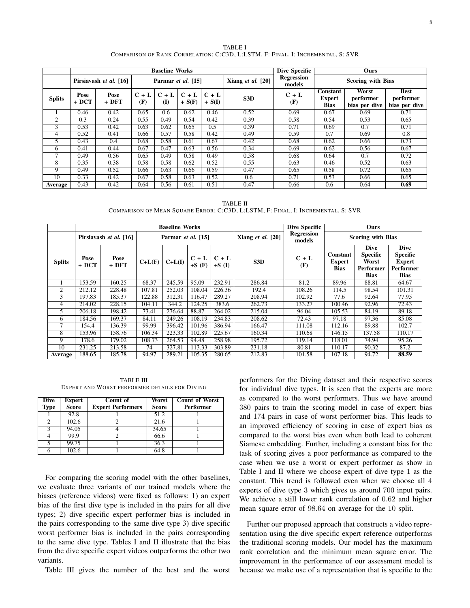TABLE I COMPARISON OF RANK CORRELATION; C:C3D, L:LSTM, F: FINAL, I: INCREMENTAL, S: SVR

|                |                        |                 |                    | <b>Baseline Works</b>   |                     | <b>Dive Specific</b> | Ours                  |                             |                                                 |                                     |                                           |  |
|----------------|------------------------|-----------------|--------------------|-------------------------|---------------------|----------------------|-----------------------|-----------------------------|-------------------------------------------------|-------------------------------------|-------------------------------------------|--|
|                | Pirsiavash et al. [16] |                 | Parmar et al. [15] |                         |                     |                      | Xiang $et$ al. $[20]$ | <b>Regression</b><br>models |                                                 | <b>Scoring with Bias</b>            |                                           |  |
| <b>Splits</b>  | Pose<br>+ DCT          | Pose<br>$+$ DFT | $C + L$<br>(F)     | $C + L$<br>$\mathbf{I}$ | $C + L$<br>$+ S(F)$ | $C + L$<br>$+ S(I)$  | S <sub>3</sub> D      | $C + L$<br>(F)              | <b>Constant</b><br><b>Expert</b><br><b>Bias</b> | Worst<br>performer<br>bias per dive | <b>Best</b><br>performer<br>bias per dive |  |
|                | 0.46                   | 0.42            | 0.65               | 0.6                     | 0.62                | 0.46                 | 0.52                  | 0.69                        | 0.67                                            | 0.69                                | 0.71                                      |  |
| $\overline{c}$ | 0.3                    | 0.24            | 0.55               | 0.49                    | 0.54                | 0.42                 | 0.39                  | 0.58                        | 0.54                                            | 0.53                                | 0.65                                      |  |
| 3              | 0.53                   | 0.42            | 0.63               | 0.62                    | 0.65                | 0.5                  | 0.39                  | 0.71                        | 0.69                                            | 0.7                                 | 0.71                                      |  |
| 4              | 0.52                   | 0.41            | 0.66               | 0.57                    | 0.58                | 0.42                 | 0.49                  | 0.59                        | 0.7                                             | 0.69                                | 0.8                                       |  |
| 5              | 0.43                   | 0.4             | 0.68               | 0.58                    | 0.61                | 0.67                 | 0.42                  | 0.68                        | 0.62                                            | 0.66                                | 0.73                                      |  |
| 6              | 0.41                   | 0.44            | 0.67               | 0.47                    | 0.63                | 0.56                 | 0.34                  | 0.69                        | 0.62                                            | 0.56                                | 0.67                                      |  |
| 7              | 0.49                   | 0.56            | 0.65               | 0.49                    | 0.58                | 0.49                 | 0.58                  | 0.68                        | 0.64                                            | 0.7                                 | 0.72                                      |  |
| 8              | 0.35                   | 0.38            | 0.58               | 0.58                    | 0.62                | 0.52                 | 0.55                  | 0.63                        | 0.46                                            | 0.52                                | 0.63                                      |  |
| 9              | 0.49                   | 0.52            | 0.66               | 0.63                    | 0.66                | 0.59                 | 0.47                  | 0.65                        | 0.58                                            | 0.72                                | 0.65                                      |  |
| 10             | 0.33                   | 0.42            | 0.67               | 0.58                    | 0.63                | 0.52                 | 0.6                   | 0.71                        | 0.53                                            | 0.66                                | 0.65                                      |  |
| Average        | 0.43                   | 0.42            | 0.64               | 0.56                    | 0.61                | 0.51                 | 0.47                  | 0.66                        | 0.6                                             | 0.64                                | 0.69                                      |  |

TABLE II COMPARISON OF MEAN SQUARE ERROR; C:C3D, L:LSTM, F: FINAL, I: INCREMENTAL, S: SVR

|                |               |                        |                    | <b>Baseline Works</b> | Dive Specific      | Ours                |                                        |                             |                                          |                                                                     |                                                                             |
|----------------|---------------|------------------------|--------------------|-----------------------|--------------------|---------------------|----------------------------------------|-----------------------------|------------------------------------------|---------------------------------------------------------------------|-----------------------------------------------------------------------------|
|                |               | Pirsiavash et al. [16] | Parmar et al. [15] |                       |                    |                     | Xiang <i>et al.</i> $\lceil 20 \rceil$ | <b>Regression</b><br>models |                                          | <b>Scoring with Bias</b>                                            |                                                                             |
| <b>Splits</b>  | Pose<br>+ DCT | Pose<br>$+$ DFT        | $C+L(F)$           | $C+L(I)$              | $C + L$<br>$+S(F)$ | $C + L$<br>$+S$ (I) | S3D                                    | $C + L$<br>(F)              | Constant<br><b>Expert</b><br><b>Bias</b> | <b>Dive</b><br><b>Specific</b><br>Worst<br>Performer<br><b>Bias</b> | <b>Dive</b><br><b>Specific</b><br><b>Expert</b><br>Performer<br><b>Bias</b> |
|                | 153.59        | 160.25                 | 68.37              | 245.59                | 95.09              | 232.91              | 286.84                                 | 81.2                        | 89.96                                    | 88.81                                                               | 64.67                                                                       |
| $\overline{2}$ | 212.12        | 228.48                 | 107.81             | 252.03                | 108.04             | 226.36              | 192.4                                  | 108.26                      | 114.5                                    | 98.54                                                               | 101.31                                                                      |
| 3              | 197.83        | 185.37                 | 122.88             | 312.31                | 116.47             | 289.27              | 208.94                                 | 102.92                      | 77.6                                     | 92.64                                                               | 77.95                                                                       |
| 4              | 214.02        | 228.15                 | 104.11             | 344.2                 | 124.25             | 383.6               | 262.73                                 | 133.27                      | 100.46                                   | 92.96                                                               | 72.43                                                                       |
| 5              | 206.18        | 198.42                 | 73.41              | 276.64                | 88.87              | 264.02              | 215.04                                 | 96.04                       | 105.53                                   | 84.19                                                               | 89.18                                                                       |
| 6              | 184.56        | 169.37                 | 84.11              | 249.26                | 108.19             | 234.83              | 208.62                                 | 72.43                       | 97.18                                    | 97.36                                                               | 85.08                                                                       |
|                | 154.4         | 136.39                 | 99.99              | 396.42                | 101.96             | 386.94              | 166.47                                 | 111.08                      | 112.16                                   | 89.88                                                               | 102.7                                                                       |
| 8              | 153.96        | 158.76                 | 106.34             | 223.33                | 102.89             | 225.67              | 160.34                                 | 110.68                      | 146.15                                   | 137.58                                                              | 110.17                                                                      |
| 9              | 178.6         | 179.02                 | 108.73             | 264.53                | 94.48              | 258.98              | 195.72                                 | 119.14                      | 118.01                                   | 74.94                                                               | 95.26                                                                       |
| 10             | 231.25        | 213.58                 | 74                 | 327.81                | 113.33             | 303.89              | 231.18                                 | 80.81                       | 110.17                                   | 90.32                                                               | 87.2                                                                        |
| Average        | 188.65        | 185.78                 | 94.97              | 289.21                | 105.35             | 280.65              | 212.83                                 | 101.58                      | 107.18                                   | 94.72                                                               | 88.59                                                                       |

TABLE III EXPERT AND WORST PERFORMER DETAILS FOR DIVING

| <b>Dive</b><br><b>Type</b> | <b>Expert</b><br><b>Score</b> | Count of<br><b>Expert Performers</b> | Worst<br><b>Score</b> | <b>Count of Worst</b><br>Performer |
|----------------------------|-------------------------------|--------------------------------------|-----------------------|------------------------------------|
|                            | 92.8                          |                                      | 51.2                  |                                    |
| $\mathcal{D}$              | 102.6                         |                                      | 21.6                  |                                    |
| 3                          | 94.05                         |                                      | 34.65                 |                                    |
|                            | 99.9                          |                                      | 66.6                  |                                    |
|                            | 99.75                         |                                      | 36.3                  |                                    |
|                            | 102.6                         |                                      | 64.8                  |                                    |

For comparing the scoring model with the other baselines, we evaluate three variants of our trained models where the biases (reference videos) were fixed as follows: 1) an expert bias of the first dive type is included in the pairs for all dive types; 2) dive specific expert performer bias is included in the pairs corresponding to the same dive type 3) dive specific worst performer bias is included in the pairs corresponding to the same dive type. Tables I and II illustrate that the bias from the dive specific expert videos outperforms the other two variants.

Table III gives the number of the best and the worst

performers for the Diving dataset and their respective scores for individual dive types. It is seen that the experts are more as compared to the worst performers. Thus we have around 380 pairs to train the scoring model in case of expert bias and 174 pairs in case of worst performer bias. This leads to an improved efficiency of scoring in case of expert bias as compared to the worst bias even when both lead to coherent Siamese embedding. Further, including a constant bias for the task of scoring gives a poor performance as compared to the case when we use a worst or expert performer as show in Table I and II where we choose expert of dive type 1 as the constant. This trend is followed even when we choose all 4 experts of dive type 3 which gives us around 700 input pairs. We achieve a still lower rank correlation of 0.62 and higher mean square error of 98.64 on average for the 10 split.

Further our proposed approach that constructs a video representation using the dive specific expert reference outperforms the traditional scoring models. Our model has the maximum rank correlation and the minimum mean square error. The improvement in the performance of our assessment model is because we make use of a representation that is specific to the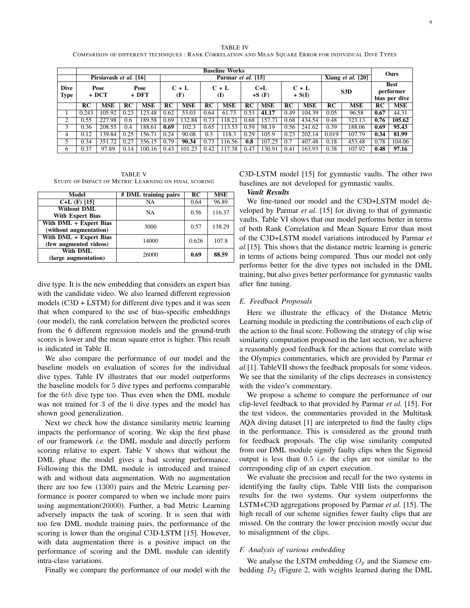TABLE IV COMPARISON OF DIFFERENT TECHNIQUES : RANK CORRELATION AND MEAN SQUARE ERROR FOR INDIVIDUAL DIVE TYPES

|                     | <b>Baseline Works</b> |                        |               |                                   |           |                |      |                    |      |                     |      |            |       | Ours                       |                                           |            |
|---------------------|-----------------------|------------------------|---------------|-----------------------------------|-----------|----------------|------|--------------------|------|---------------------|------|------------|-------|----------------------------|-------------------------------------------|------------|
|                     |                       | Pirsiavash et al. [16] |               |                                   |           |                |      | Parmar et al. [15] |      |                     |      |            |       | Xiang <i>et al.</i> $[20]$ |                                           |            |
| <b>Dive</b><br>Type | Pose<br>+ DCT         |                        |               | $C + L$<br>Pose<br>$+$ DFT<br>(F) |           | $C + L$<br>(I) |      | $C+L$<br>$+S(F)$   |      | $C + L$<br>$+ S(I)$ |      | S3D        |       |                            | <b>Best</b><br>performer<br>bias per dive |            |
|                     | <b>RC</b>             | <b>MSE</b>             | RC            | <b>MSE</b>                        | <b>RC</b> | <b>MSE</b>     | RC   | <b>MSE</b>         | RC   | <b>MSE</b>          | RC   | <b>MSE</b> | RC    | <b>MSE</b>                 | RC                                        | <b>MSE</b> |
|                     | 0.243                 | 105.92                 | 0.23          | 123.48                            | 0.62      | 53.03          | 0.64 | 61.73              | 0.53 | 41.17               | 0.49 | 104.39     | 0.05  | 96.58                      | 0.67                                      | 44.31      |
| $\mathcal{L}$       | 0.55                  | 227.98                 | $0.6^{\circ}$ | 189.58                            | 0.69      | 132.88         | 0.73 | 118.21             | 0.68 | 157.71              | 0.68 | 434.54     | 0.48  | 323.13                     | 0.76                                      | 105.62     |
| 3                   | 0.36                  | 208.55                 | 0.4           | 188.61                            | 0.69      | 102.3          | 0.65 | 113.53             | 0.59 | 98.19               | 0.56 | 241.62     | 0.39  | 188.06                     | 0.69                                      | 95.43      |
| 4                   | 0.12                  | 139.84                 | 0.25          | 156.71                            | 0.24      | 90.08          | 0.3  | 118.3              | 0.29 | 105.9               | 0.23 | 202.14     | 0.019 | 107.79                     | 0.34                                      | 81.99      |
|                     | 0.34                  | 351.72                 | 0.27          | 356.15                            | 0.79      | 90.34          | 0.73 | 116.56             | 0.8  | 107.25              | 0.7  | 407.48     | 0.18  | 453.48                     | 0.78                                      | 104.06     |
| 6                   | 0.37                  | 97.89                  | 0.14          | 100.16                            | 0.43      | 101.23         | 0.42 | 117.38             | 0.47 | 130.91              | 0.41 | 163.93     | 0.38  | 107.92                     | 0.48                                      | 97.16      |

TABLE V STUDY OF IMPACT OF METRIC LEARNING ON FINAL SCORING

| Model                                            | # DML training pairs | <b>RC</b> | <b>MSE</b> |
|--------------------------------------------------|----------------------|-----------|------------|
| $C+L$ (F) [15]                                   | NA                   | 0.64      | 96.89      |
| <b>Without DML</b><br><b>With Expert Bias</b>    | NA                   | 0.56      | 116.37     |
| With DML + Expert Bias<br>(without augmentation) | 3000                 | 0.57      | 138.29     |
| With DML + Expert Bias<br>(few augmented videos) | 14000                | 0.626     | 107.8      |
| With DML<br>(large augmentation)                 | 26000                | 0.69      | 88.59      |

dive type. It is the new embedding that considers an expert bias with the candidate video. We also learned different regression models (C3D + LSTM) for different dive types and it was seen that when compared to the use of bias-specific embeddings (our model), the rank correlation between the predicted scores from the 6 different regression models and the ground-truth scores is lower and the mean square error is higher. This result is indicated in Table II.

We also compare the performance of our model and the baseline models on evaluation of scores for the individual dive types. Table IV illustrates that our model outperforms the baseline models for 5 dive types and performs comparable for the 6th dive type too. Thus even when the DML module was not trained for 3 of the 6 dive types and the model has shown good generalization.

Next we check how the distance similarity metric learning impacts the performance of scoring. We skip the first phase of our framework *i.e.* the DML module and directly perform scoring relative to expert. Table V shows that without the DML phase the model gives a bad scoring performance. Following this the DML module is introduced and trained with and without data augmentation. With no augmentation there are too few (1300) pairs and the Metric Learning performance is poorer compared to when we include more pairs using augmentation(26000). Further, a bad Metric Learning adversely impacts the task of scoring. It is seen that with too few DML module training pairs, the performance of the scoring is lower than the original C3D-LSTM [15]. However, with data augmentation there is a positive impact on the performance of scoring and the DML module can identify intra-class variations.

Finally we compare the performance of our model with the

C3D-LSTM model [15] for gymnastic vaults. The other two baselines are not developed for gymnastic vaults.

### *Vault Results*

We fine-tuned our model and the C3D+LSTM model developed by Parmar *et al.* [15] for diving to that of gymnastic vaults. Table VI shows that our model performs better in terms of both Rank Correlation and Mean Square Error than most of the C3D+LSTM model variations introduced by Parmar *et al.*[15]. This shows that the distance metric learning is generic in terms of actions being compared. Thus our model not only performs better for the dive types not included in the DML training, but also gives better performance for gymnastic vaults after fine tuning.

# *E. Feedback Proposals*

Here we illustrate the efficacy of the Distance Metric Learning module in predicting the contributions of each clip of the action to the final score. Following the strategy of clip wise similarity computation proposed in the last section, we achieve a reasonably good feedback for the actions that correlate with the Olympics commentaries, which are provided by Parmar *et al.*[1]. TableVII shows the feedback proposals for some videos. We see that the similarity of the clips decreases in consistency with the video's commentary.

We propose a scheme to compare the performance of our clip-level feedback to that provided by Parmar *et al.* [15]. For the test videos, the commentaries provided in the Multitask AQA diving dataset [1] are interpreted to find the faulty clips in the performance. This is considered as the ground truth for feedback proposals. The clip wise similarity computed from our DML module signify faulty clips when the Sigmoid output is less than 0.5 *i.e.* the clips are not similar to the corresponding clip of an expert execution.

We evaluate the precision and recall for the two systems in identifying the faulty clips. Table VIII lists the comparison results for the two systems. Our system outperforms the LSTM+C3D aggregations proposed by Parmar *et al.* [15]. The high recall of our scheme signifies fewer faulty clips that are missed. On the contrary the lower precision mostly occur due to misalignment of the clips.

# *F. Analysis of various embedding*

We analyse the LSTM embedding  $O_p$  and the Siamese embedding  $D_2$  (Figure 2, with weights learned during the DML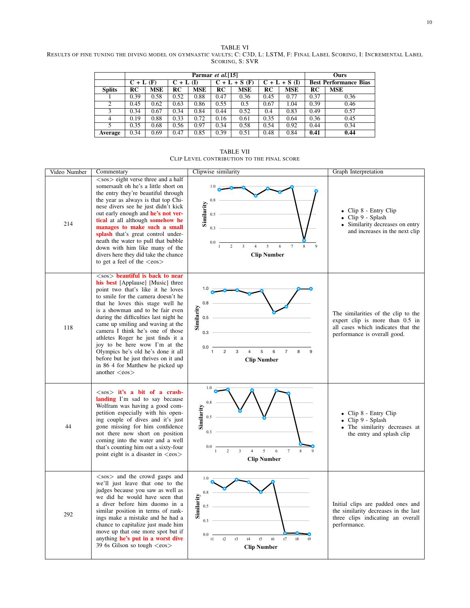TABLE VI RESULTS OF FINE TUNING THE DIVING MODEL ON GYMNASTIC VAULTS; C: C3D, L: LSTM, F: FINAL LABEL SCORING, I: INCREMENTAL LABEL SCORING, S: SVR

|               |             |            | Ours        |            |                          |      |                     |            |                              |            |
|---------------|-------------|------------|-------------|------------|--------------------------|------|---------------------|------------|------------------------------|------------|
|               | $C + L$ (F) |            | $C + L (I)$ |            | $C + L + S(F)$           |      | $+ S(1)$<br>$C + L$ |            | <b>Best Performance Bias</b> |            |
| <b>Splits</b> | RC          | <b>MSE</b> | RC          | <b>MSE</b> | $\overline{\mathrm{RC}}$ | MSE  | RC                  | <b>MSE</b> | RC                           | <b>MSE</b> |
|               | 0.39        | 0.58       | 0.52        | 0.88       | 0.47                     | 0.36 | 0.45                | 0.77       | 0.37                         | 0.36       |
| 2             | 0.45        | 0.62       | 0.63        | 0.86       | 0.55                     | 0.5  | 0.67                | 1.04       | 0.39                         | 0.46       |
| 3             | 0.34        | 0.67       | 0.34        | 0.84       | 0.44                     | 0.52 | 0.4                 | 0.83       | 0.49                         | 0.57       |
| 4             | 0.19        | 0.88       | 0.33        | 0.72       | 0.16                     | 0.61 | 0.35                | 0.64       | 0.36                         | 0.45       |
| 5             | 0.35        | 0.68       | 0.56        | 0.97       | 0.34                     | 0.58 | 0.54                | 0.92       | 0.44                         | 0.34       |
| Average       | 0.34        | 0.69       | 0.47        | 0.85       | 0.39                     | 0.51 | 0.48                | 0.84       | 0.41                         | 0.44       |

TABLE VII CLIP LEVEL CONTRIBUTION TO THE FINAL SCORE

| Video Number | Commentary                                                                                                                                                                                                                                                                                                                                                                                                                                                                                                                                                                 | Clipwise similarity                                                                                                                                                                     | Graph Interpretation                                                                                                                         |
|--------------|----------------------------------------------------------------------------------------------------------------------------------------------------------------------------------------------------------------------------------------------------------------------------------------------------------------------------------------------------------------------------------------------------------------------------------------------------------------------------------------------------------------------------------------------------------------------------|-----------------------------------------------------------------------------------------------------------------------------------------------------------------------------------------|----------------------------------------------------------------------------------------------------------------------------------------------|
| 214          | $\langle$ sos $\rangle$ eight verse three and a half<br>somersault oh he's a little short on<br>the entry they're beautiful through<br>the year as always is that top Chi-<br>nese divers see he just didn't kick<br>out early enough and he's not ver-<br>tical at all although somehow he<br>manages to make such a small<br>splash that's great control under-<br>neath the water to pull that bubble<br>down with him like many of the<br>divers here they did take the chance<br>to get a feel of the $\langle \cos \rangle$                                          | 0.8<br>Similarity<br>0.5<br>0.3<br>$\mathbf{\hat{z}}$<br>$\mathfrak{D}$<br>$\mathbf{3}$<br>$\overline{\phantom{0}}$<br><b>Clip Number</b>                                               | $\bullet$ Clip 8 - Entry Clip<br>$\bullet$ Clip 9 - Splash<br>• Similarity decreases on entry<br>and increases in the next clip              |
| 118          | $\langle$ sos $\rangle$ beautiful is back to near<br>his best [Applause] [Music] three<br>point two that's like it he loves<br>to smile for the camera doesn't he<br>that he loves this stage well he<br>is a showman and to be fair even<br>during the difficulties last night he<br>came up smiling and waving at the<br>camera I think he's one of those<br>athletes Roger he just finds it a<br>joy to be here wow I'm at the<br>Olympics he's old he's done it all<br>before but he just thrives on it and<br>in 86 4 for Matthew he picked up<br>another $<$ eos $>$ | 0.8<br>Similarity<br>0.5<br>0.3<br>0.0<br>$\overline{c}$<br>3<br>5<br>6<br>$\overline{4}$<br>$\overline{7}$<br><b>Clip Number</b>                                                       | The similarities of the clip to the<br>expert clip is more than 0.5 in<br>all cases which indicates that the<br>performance is overall good. |
| 44           | $<$ sos > it's a bit of a crash-<br>landing I'm sad to say because<br>Wolfram was having a good com-<br>petition especially with his open-<br>ing couple of dives and it's just<br>gone missing for him confidence<br>not there now short on position<br>coming into the water and a well<br>that's counting him out a sixty-four<br>point eight is a disaster in <eos></eos>                                                                                                                                                                                              | 1.0<br>0.8<br>Similarity<br>0.5<br>0.3<br>0.0<br>$\overline{\mathbf{3}}$<br>5<br>$\ddot{\mathbf{6}}$<br>$\boldsymbol{7}$<br>$\overline{c}$<br>$\overline{4}$<br>8<br><b>Clip Number</b> | • Clip 8 - Entry Clip<br>Clip 9 - Splash<br>• The similarity decreases at<br>the entry and splash clip                                       |
| 292          | $\langle$ sos $\rangle$ and the crowd gasps and<br>we'll just leave that one to the<br>judges because you saw as well as<br>we did he would have seen that<br>a diver before him duomo in a<br>similar position in terms of rank-<br>ings make a mistake and he had a<br>chance to capitalize just made him<br>move up that one more spot but if<br>anything he's put in a worst dive<br>39 6s Gilson so tough <eos></eos>                                                                                                                                                 | 1.0<br>0.8<br>Similarity<br>0.5<br>0.3<br>0.0<br>t2<br>t3<br>t8<br>t1<br>t4<br>t5<br>t6<br>t7<br><b>Clip Number</b>                                                                     | Initial clips are padded ones and<br>the similarity decreases in the last<br>three clips indicating an overall<br>performance.               |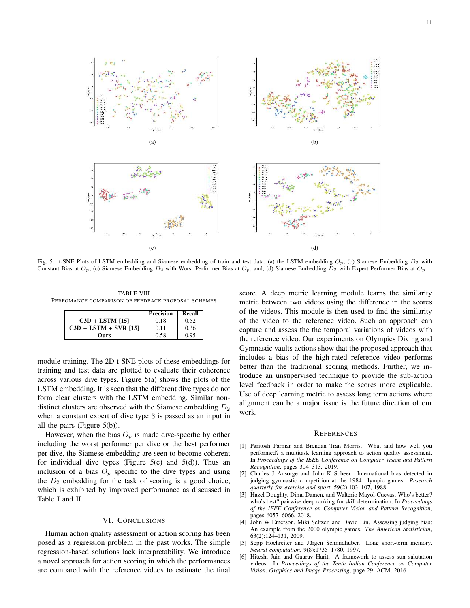

Fig. 5. t-SNE Plots of LSTM embedding and Siamese embedding of train and test data: (a) the LSTM embedding  $O_p$ ; (b) Siamese Embedding  $D_2$  with Constant Bias at  $O_p$ ; (c) Siamese Embedding  $D_2$  with Worst Performer Bias at  $O_p$ ; and, (d) Siamese Embedding  $D_2$  with Expert Performer Bias at  $O_p$ 

TABLE VIII PERFOMANCE COMPARISON OF FEEDBACK PROPOSAL SCHEMES

|                         | <b>Precision</b> | Recall |
|-------------------------|------------------|--------|
| $C3D + LSTM$ [15]       | 0.18             | 0.52   |
| $C3D + LSTM + SVR$ [15] | 0.11             | 0.36   |
| Ours                    | 0.58             | 0.95   |

module training. The 2D t-SNE plots of these embeddings for training and test data are plotted to evaluate their coherence across various dive types. Figure 5(a) shows the plots of the LSTM embedding. It is seen that the different dive types do not form clear clusters with the LSTM embedding. Similar nondistinct clusters are observed with the Siamese embedding  $D_2$ when a constant expert of dive type 3 is passed as an input in all the pairs (Figure 5(b)).

However, when the bias  $O_p$  is made dive-specific by either including the worst performer per dive or the best performer per dive, the Siamese embedding are seen to become coherent for individual dive types (Figure  $5(c)$  and  $5(d)$ ). Thus an inclusion of a bias  $O_p$  specific to the dive types and using the  $D_2$  embedding for the task of scoring is a good choice, which is exhibited by improved performance as discussed in Table I and II.

# VI. CONCLUSIONS

Human action quality assessment or action scoring has been posed as a regression problem in the past works. The simple regression-based solutions lack interpretability. We introduce a novel approach for action scoring in which the performances are compared with the reference videos to estimate the final score. A deep metric learning module learns the similarity metric between two videos using the difference in the scores of the videos. This module is then used to find the similarity of the video to the reference video. Such an approach can capture and assess the the temporal variations of videos with the reference video. Our experiments on Olympics Diving and Gymnastic vaults actions show that the proposed approach that includes a bias of the high-rated reference video performs better than the traditional scoring methods. Further, we introduce an unsupervised technique to provide the sub-action level feedback in order to make the scores more explicable. Use of deep learning metric to assess long term actions where alignment can be a major issue is the future direction of our work.

# **REFERENCES**

- [1] Paritosh Parmar and Brendan Tran Morris. What and how well you performed? a multitask learning approach to action quality assessment. In *Proceedings of the IEEE Conference on Computer Vision and Pattern Recognition*, pages 304–313, 2019.
- [2] Charles J Ansorge and John K Scheer. International bias detected in judging gymnastic competition at the 1984 olympic games. *Research quarterly for exercise and sport*, 59(2):103–107, 1988.
- [3] Hazel Doughty, Dima Damen, and Walterio Mayol-Cuevas. Who's better? who's best? pairwise deep ranking for skill determination. In *Proceedings of the IEEE Conference on Computer Vision and Pattern Recognition*, pages 6057–6066, 2018.
- [4] John W Emerson, Miki Seltzer, and David Lin. Assessing judging bias: An example from the 2000 olympic games. *The American Statistician*, 63(2):124–131, 2009.
- [5] Sepp Hochreiter and Jürgen Schmidhuber. Long short-term memory. *Neural computation*, 9(8):1735–1780, 1997.
- [6] Hiteshi Jain and Gaurav Harit. A framework to assess sun salutation videos. In *Proceedings of the Tenth Indian Conference on Computer Vision, Graphics and Image Processing*, page 29. ACM, 2016.